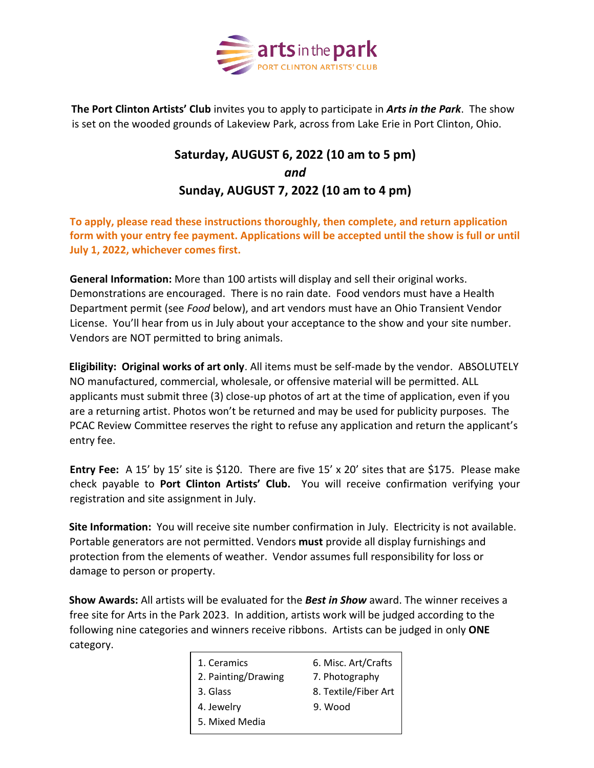

**The Port Clinton Artists' Club** invites you to apply to participate in *Arts in the Park*. The show is set on the wooded grounds of [Lakeview Park,](http://maps.google.com/maps?q=lakeview+park+port+clinton+ohio) across from Lake Erie in Port Clinton, Ohio.

## **Saturday, AUGUST 6, 2022 (10 am to 5 pm)** *and*  **Sunday, AUGUST 7, 2022 (10 am to 4 pm)**

**To apply, please read these instructions thoroughly, then complete, and return application form with your entry fee payment. Applications will be accepted until the show is full or until July 1, 2022, whichever comes first.** 

**General Information:** More than 100 artists will display and sell their original works. Demonstrations are encouraged. There is no rain date. Food vendors must have a Health Department permit (see *Food* below), and art vendors must have an Ohio Transient Vendor License. You'll hear from us in July about your acceptance to the show and your site number. Vendors are NOT permitted to bring animals.

**Eligibility: Original works of art only**. All items must be self-made by the vendor. ABSOLUTELY NO manufactured, commercial, wholesale, or offensive material will be permitted. ALL applicants must submit three (3) close-up photos of art at the time of application, even if you are a returning artist. Photos won't be returned and may be used for publicity purposes. The PCAC Review Committee reserves the right to refuse any application and return the applicant's entry fee.

**Entry Fee:** A 15' by 15' site is \$120. There are five 15' x 20' sites that are \$175. Please make check payable to **Port Clinton Artists' Club.** You will receive confirmation verifying your registration and site assignment in July.

**Site Information:** You will receive site number confirmation in July. Electricity is not available. Portable generators are not permitted. Vendors **must** provide all display furnishings and protection from the elements of weather. Vendor assumes full responsibility for loss or damage to person or property.

**Show Awards:** All artists will be evaluated for the *Best in Show* award. The winner receives a free site for Arts in the Park 2023. In addition, artists work will be judged according to the following nine categories and winners receive ribbons. Artists can be judged in only **ONE** category.

| 1. Ceramics         | 6. Misc. Art/Crafts<br>7. Photography |  |
|---------------------|---------------------------------------|--|
| 2. Painting/Drawing |                                       |  |
| 3. Glass            | 8. Textile/Fiber Art                  |  |
| 4. Jewelry          | 9. Wood                               |  |
| 5. Mixed Media      |                                       |  |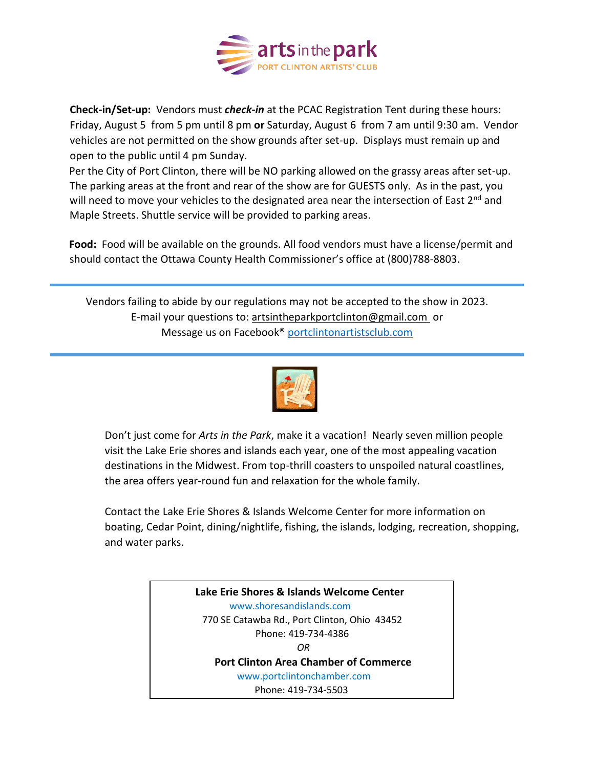

**Check-in/Set-up:** Vendors must *check-in* at the PCAC Registration Tent during these hours: Friday, August 5 from 5 pm until 8 pm **or** Saturday, August 6 from 7 am until 9:30 am. Vendor vehicles are not permitted on the show grounds after set-up. Displays must remain up and open to the public until 4 pm Sunday.

Per the City of Port Clinton, there will be NO parking allowed on the grassy areas after set-up. The parking areas at the front and rear of the show are for GUESTS only. As in the past, you will need to move your vehicles to the designated area near the intersection of East 2<sup>nd</sup> and Maple Streets. Shuttle service will be provided to parking areas.

**Food:** Food will be available on the grounds. All food vendors must have a license/permit and should contact the Ottawa County Health Commissioner's office at (800)788-8803.

Vendors failing to abide by our regulations may not be accepted to the show in 2023. E-mail your questions to: [artsintheparkportclinton@gmail.com](mailto:artsintheparkportclinton@gmail.com) or Message us on Facebook® [portclintonartistsclub.com](file:///G:/PCAC%20AITP%202019/portclintonartists’club.com)



Don't just come for *Arts in the Park*, make it a vacation! Nearly seven million people visit the Lake Erie shores and islands each year, one of the most appealing vacation destinations in the Midwest. From top-thrill coasters to unspoiled natural coastlines, the area offers year-round fun and relaxation for the whole family.

Contact the Lake Erie Shores & Islands Welcome Center for more information on boating, Cedar Point, dining/nightlife, fishing, the islands, lodging, recreation, shopping, and water parks.

> **Lake Erie Shores & Islands Welcome Center** www.shoresandislands.com 770 SE Catawba Rd., Port Clinton, Ohio 43452 Phone: 419-734-4386  *OR* **Port Clinton Area Chamber of Commerce** [www.portclintonchamber.com](http://www.portclintonchamber.com/) Phone: 419-734-5503